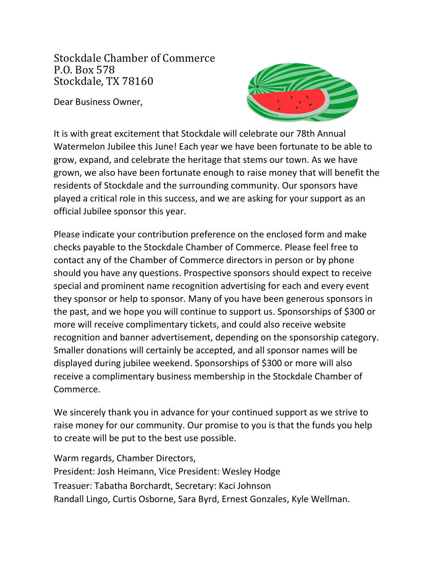P.O. Box 578 Stockdale, TX 78160 Stockdale Chamber of Commerce

Dear Business Owner,



It is with great excitement that Stockdale will celebrate our 78th Annual Watermelon Jubilee this June! Each year we have been fortunate to be able to grow, expand, and celebrate the heritage that stems our town. As we have grown, we also have been fortunate enough to raise money that will benefit the residents of Stockdale and the surrounding community. Our sponsors have played a critical role in this success, and we are asking for your support as an official Jubilee sponsor this year.

Please indicate your contribution preference on the enclosed form and make checks payable to the Stockdale Chamber of Commerce. Please feel free to contact any of the Chamber of Commerce directors in person or by phone should you have any questions. Prospective sponsors should expect to receive special and prominent name recognition advertising for each and every event they sponsor or help to sponsor. Many of you have been generous sponsors in the past, and we hope you will continue to support us. Sponsorships of \$300 or more will receive complimentary tickets, and could also receive website recognition and banner advertisement, depending on the sponsorship category. Smaller donations will certainly be accepted, and all sponsor names will be displayed during jubilee weekend. Sponsorships of \$300 or more will also receive a complimentary business membership in the Stockdale Chamber of Commerce.

We sincerely thank you in advance for your continued support as we strive to raise money for our community. Our promise to you is that the funds you help to create will be put to the best use possible.

Warm regards, Chamber Directors, Randall Lingo, Curtis Osborne, Sara Byrd, Ernest Gonzales, Kyle Wellman. Treasuer: Tabatha Borchardt, Secretary: Kaci Johnson President: Josh Heimann, Vice President: Wesley Hodge